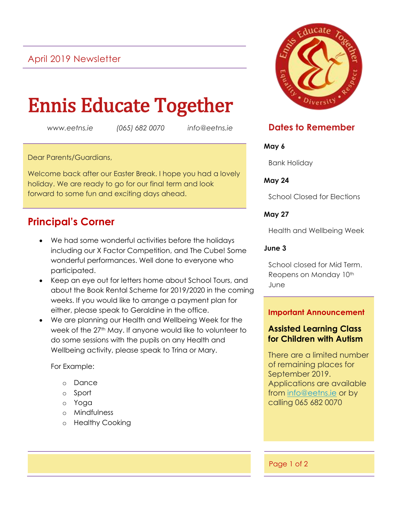## April 2019 Newsletter

# Ennis Educate Together

*www.eetns.ie (065) 682 0070 info@eetns.ie*

Dear Parents/Guardians,

Welcome back after our Easter Break. I hope you had a lovely holiday. We are ready to go for our final term and look forward to some fun and exciting days ahead.

## **Principal's Corner**

- We had some wonderful activities before the holidays including our X Factor Competition, and The Cube! Some wonderful performances. Well done to everyone who participated.
- Keep an eye out for letters home about School Tours, and about the Book Rental Scheme for 2019/2020 in the coming weeks. If you would like to arrange a payment plan for either, please speak to Geraldine in the office.
- We are planning our Health and Wellbeing Week for the week of the 27<sup>th</sup> May. If anyone would like to volunteer to do some sessions with the pupils on any Health and Wellbeing activity, please speak to Trina or Mary.

For Example:

- o Dance
- o Sport
- o Yoga
- o Mindfulness
- o Healthy Cooking



### **Dates to Remember**

#### **May 6**

Bank Holiday

**May 24**

School Closed for Elections

#### **May 27**

Health and Wellbeing Week

#### **June 3**

School closed for Mid Term. Reopens on Monday 10<sup>th</sup> June

#### **Important Announcement**

#### **Assisted Learning Class for Children with Autism**

There are a limited number of remaining places for September 2019. Applications are available from [info@eetns.ie](mailto:info@eetns.ie) or by calling 065 682 0070

Page 1 of 2